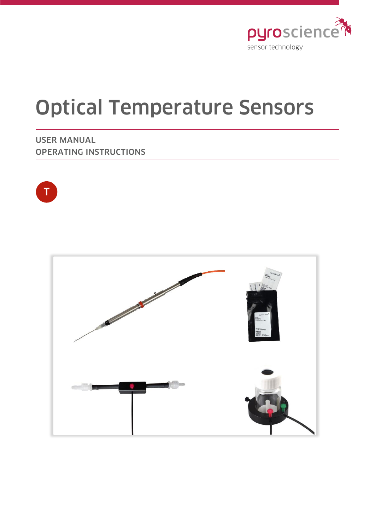

# Optical Temperature Sensors

USER MANUAL OPERATING INSTRUCTIONS



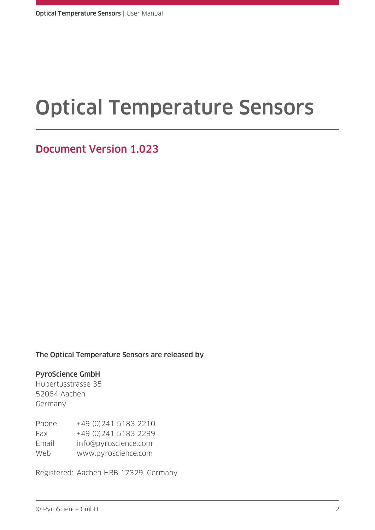# Optical Temperature Sensors

#### Document Version 1.023

#### The Optical Temperature Sensors are released by

#### PyroScience GmbH Hubertusstrasse 35

52064 Aachen Germany

| Phone | +49 (0) 241 5183 2210 |
|-------|-----------------------|
| Fax   | +49 (0) 241 5183 2299 |
| Email | info@pyroscience.com  |
| Web   | www.pyroscience.com   |

Registered: Aachen HRB 17329, Germany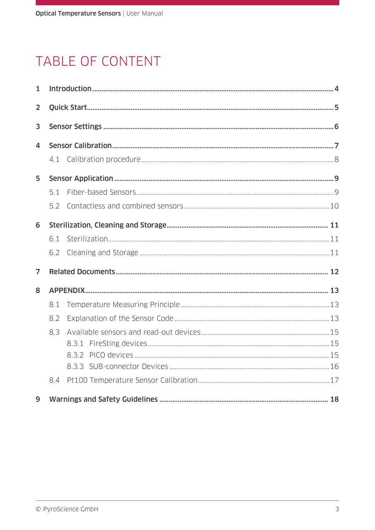# TABLE OF CONTENT

| $\mathbf{1}$   |     |  |  |
|----------------|-----|--|--|
| $\overline{2}$ |     |  |  |
| 3              |     |  |  |
| 4              |     |  |  |
|                | 41  |  |  |
| 5              |     |  |  |
|                | 5.1 |  |  |
|                | 5.2 |  |  |
| 6              |     |  |  |
|                | 6.1 |  |  |
|                | 6.2 |  |  |
| $\overline{7}$ |     |  |  |
| 8              |     |  |  |
|                | 8.1 |  |  |
|                | 8.2 |  |  |
|                | 8.3 |  |  |
|                |     |  |  |
|                |     |  |  |
|                |     |  |  |
|                | 8.4 |  |  |
| 9              |     |  |  |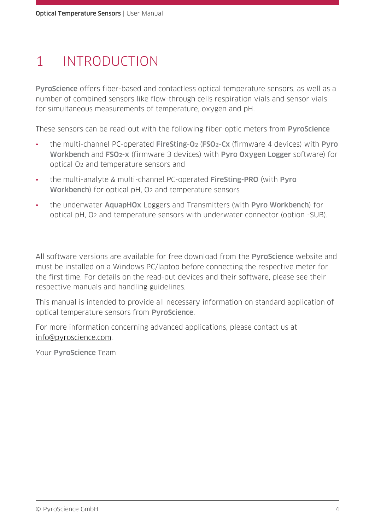# <span id="page-3-0"></span>1 INTRODUCTION

PyroScience offers fiber-based and contactless optical temperature sensors, as well as a number of combined sensors like flow-through cells respiration vials and sensor vials for simultaneous measurements of temperature, oxygen and pH.

These sensors can be read-out with the following fiber-optic meters from PyroScience

- the multi-channel PC-operated FireSting-O<sub>2</sub> (FSO<sub>2</sub>-Cx (firmware 4 devices) with Pyro Workbench and FSO2-x (firmware 3 devices) with Pyro Oxygen Logger software) for optical O2 and temperature sensors and
- the multi-analyte & multi-channel PC-operated FireSting-PRO (with Pyro Workbench) for optical pH, O2 and temperature sensors
- the underwater AquapHOx Loggers and Transmitters (with Pyro Workbench) for optical pH, O2 and temperature sensors with underwater connector (option -SUB).

All software versions are available for free download from the **PyroScience** website and must be installed on a Windows PC/laptop before connecting the respective meter for the first time. For details on the read-out devices and their software, please see their respective manuals and handling guidelines.

This manual is intended to provide all necessary information on standard application of optical temperature sensors from PyroScience.

For more information concerning advanced applications, please contact us at [info@pyroscience.com.](mailto:info@pyroscience.com)

<span id="page-3-1"></span>Your PyroScience Team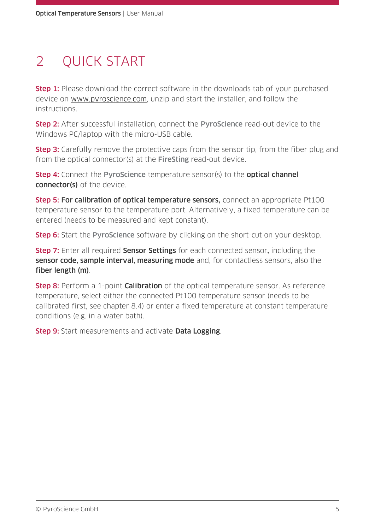# 2 QUICK START

**Step 1:** Please download the correct software in the downloads tab of your purchased device on [www.pyroscience.com,](file://///PYROSERVER2/share/Produkte%20Manuale/Optical%20Temperature/www.pyroscience.com) unzip and start the installer, and follow the instructions.

Step 2: After successful installation, connect the PyroScience read-out device to the Windows PC/laptop with the micro-USB cable.

**Step 3:** Carefully remove the protective caps from the sensor tip, from the fiber plug and from the optical connector(s) at the FireSting read-out device.

**Step 4:** Connect the PyroScience temperature sensor(s) to the **optical channel** connector(s) of the device.

Step 5: For calibration of optical temperature sensors, connect an appropriate Pt100 temperature sensor to the temperature port. Alternatively, a fixed temperature can be entered (needs to be measured and kept constant).

**Step 6:** Start the PyroScience software by clicking on the short-cut on your desktop.

**Step 7:** Enter all required **Sensor Settings** for each connected sensor, including the sensor code, sample interval, measuring mode and, for contactless sensors, also the fiber length (m).

**Step 8:** Perform a 1-point **Calibration** of the optical temperature sensor. As reference temperature, select either the connected Pt100 temperature sensor (needs to be calibrated first, see chapter [8.4\)](#page-15-0) or enter a fixed temperature at constant temperature conditions (e.g. in a water bath).

Step 9: Start measurements and activate Data Logging.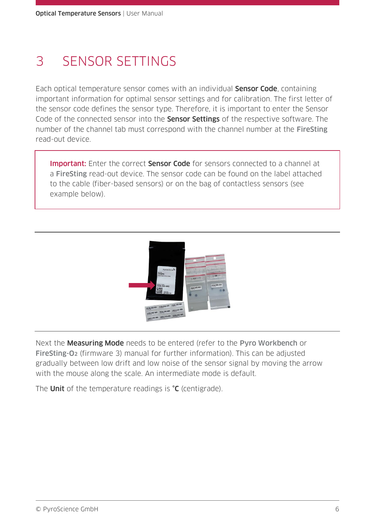## <span id="page-5-0"></span>3 SENSOR SETTINGS

Each optical temperature sensor comes with an individual **Sensor Code**, containing important information for optimal sensor settings and for calibration. The first letter of the sensor code defines the sensor type. Therefore, it is important to enter the Sensor Code of the connected sensor into the **Sensor Settings** of the respective software. The number of the channel tab must correspond with the channel number at the FireSting read-out device.

Important: Enter the correct Sensor Code for sensors connected to a channel at a FireSting read-out device. The sensor code can be found on the label attached to the cable (fiber-based sensors) or on the bag of contactless sensors (see example below).



Next the Measuring Mode needs to be entered (refer to the Pyro Workbench or FireSting-O2 (firmware 3) manual for further information). This can be adjusted gradually between low drift and low noise of the sensor signal by moving the arrow with the mouse along the scale. An intermediate mode is default.

The Unit of the temperature readings is °C (centigrade).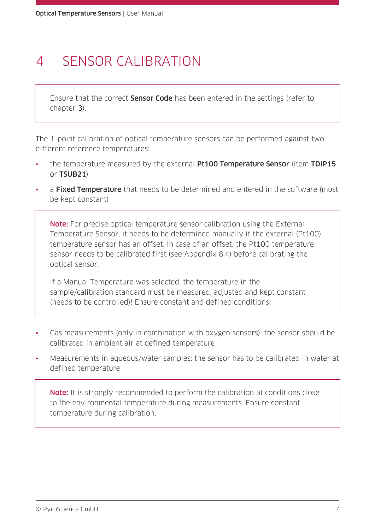# <span id="page-6-0"></span>4 SENSOR CALIBRATION

Ensure that the correct **Sensor Code** has been entered in the settings (refer to chapter [3\)](#page-5-0).

The 1-point calibration of optical temperature sensors can be performed against two different reference temperatures:

- the temperature measured by the external **Pt100 Temperature Sensor** (item TDIP15 or TSUB21)
- a Fixed Temperature that needs to be determined and entered in the software (must be kept constant)

Note: For precise optical temperature sensor calibration using the External Temperature Sensor, it needs to be determined manually if the external (Pt100) temperature sensor has an offset. In case of an offset, the Pt100 temperature sensor needs to be calibrated first (see Appendix [8.4\)](#page-15-0) before calibrating the optical sensor.

If a Manual Temperature was selected, the temperature in the sample/calibration standard must be measured, adjusted and kept constant (needs to be controlled)! Ensure constant and defined conditions!

- Gas measurements (only in combination with oxygen sensors): the sensor should be calibrated in ambient air at defined temperature
- Measurements in aqueous/water samples: the sensor has to be calibrated in water at defined temperature

**Note:** It is strongly recommended to perform the calibration at conditions close to the environmental temperature during measurements. Ensure constant temperature during calibration.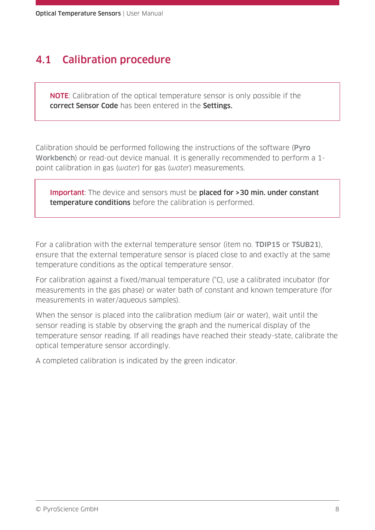### <span id="page-7-0"></span>4.1 Calibration procedure

NOTE: Calibration of the optical temperature sensor is only possible if the correct Sensor Code has been entered in the Settings.

Calibration should be performed following the instructions of the software (Pyro Workbench) or read-out device manual. It is generally recommended to perform a 1 point calibration in gas (*water*) for gas (*water*) measurements.

Important: The device and sensors must be placed for >30 min. under constant temperature conditions before the calibration is performed.

For a calibration with the external temperature sensor (item no. TDIP15 or TSUB21). ensure that the external temperature sensor is placed close to and exactly at the same temperature conditions as the optical temperature sensor.

For calibration against a fixed/manual temperature (°C), use a calibrated incubator (for measurements in the gas phase) or water bath of constant and known temperature (for measurements in water/aqueous samples).

When the sensor is placed into the calibration medium (air or water), wait until the sensor reading is stable by observing the graph and the numerical display of the temperature sensor reading. If all readings have reached their steady-state, calibrate the optical temperature sensor accordingly.

A completed calibration is indicated by the green indicator.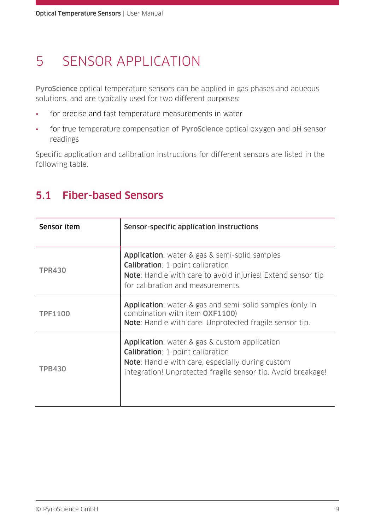# <span id="page-8-0"></span>5 SENSOR APPLICATION

PyroScience optical temperature sensors can be applied in gas phases and aqueous solutions, and are typically used for two different purposes:

- for precise and fast temperature measurements in water
- for true temperature compensation of PyroScience optical oxygen and pH sensor readings

Specific application and calibration instructions for different sensors are listed in the following table.

| Sensor item   | Sensor-specific application instructions                                                                                                                                                                                   |  |  |
|---------------|----------------------------------------------------------------------------------------------------------------------------------------------------------------------------------------------------------------------------|--|--|
| <b>TPR430</b> | <b>Application:</b> water & gas & semi-solid samples<br><b>Calibration: 1-point calibration</b><br><b>Note:</b> Handle with care to avoid injuries! Extend sensor tip<br>for calibration and measurements.                 |  |  |
| TPF1100       | <b>Application:</b> water & gas and semi-solid samples (only in<br>combination with item OXF1100)<br><b>Note:</b> Handle with care! Unprotected fragile sensor tip.                                                        |  |  |
| <b>TPB430</b> | <b>Application:</b> water & gas & custom application<br><b>Calibration: 1-point calibration</b><br><b>Note:</b> Handle with care, especially during custom<br>integration! Unprotected fragile sensor tip. Avoid breakage! |  |  |

### <span id="page-8-1"></span>5.1 Fiber-based Sensors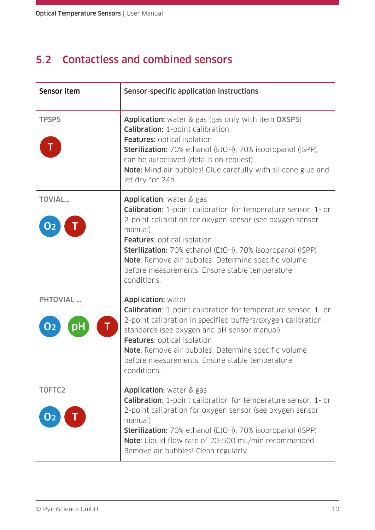### <span id="page-9-0"></span>5.2 Contactless and combined sensors

| Sensor item            | Sensor-specific application instructions                                                                                                                                                                                                                                                                                                                                                                       |  |
|------------------------|----------------------------------------------------------------------------------------------------------------------------------------------------------------------------------------------------------------------------------------------------------------------------------------------------------------------------------------------------------------------------------------------------------------|--|
| TPSP5                  | <b>Application:</b> water & gas (gas only with item OXSP5)<br><b>Calibration:</b> 1-point calibration<br><b>Features:</b> optical isolation<br>Sterilization: 70% ethanol (EtOH), 70% isopropanol (ISPP),<br>can be autoclaved (details on request)<br><b>Note:</b> Mind air bubbles! Glue carefully with silicone glue and<br>let dry for 24h.                                                                |  |
| <b>TOVIAL</b>          | <b>Application: water &amp; gas</b><br>Calibration: 1-point calibration for temperature sensor, 1- or<br>2-point calibration for oxygen sensor (see oxygen sensor<br>manual)<br><b>Features:</b> optical isolation<br><b>Sterilization:</b> 70% ethanol (EtOH), 70% isopropanol (ISPP)<br>Note: Remove air bubbles! Determine specific volume<br>before measurements. Ensure stable temperature<br>conditions. |  |
| <b>PHTOVIAL </b><br>рH | <b>Application: water</b><br><b>Calibration:</b> 1-point calibration for temperature sensor, 1- or<br>2-point calibration in specified buffers/oxygen calibration<br>standards (see oxygen and pH sensor manual)<br><b>Features: optical isolation</b><br>Note: Remove air bubbles! Determine specific volume<br>before measurements. Ensure stable temperature<br>conditions.                                 |  |
| TOFTC <sub>2</sub>     | <b>Application:</b> water & gas<br><b>Calibration</b> : 1-point calibration for temperature sensor, 1- or<br>2-point calibration for oxygen sensor (see oxygen sensor<br>manual)<br><b>Sterilization:</b> 70% ethanol (EtOH), 70% isopropanol (ISPP)<br>Note: Liquid flow rate of 20-500 mL/min recommended.<br>Remove air bubbles! Clean regularly.                                                           |  |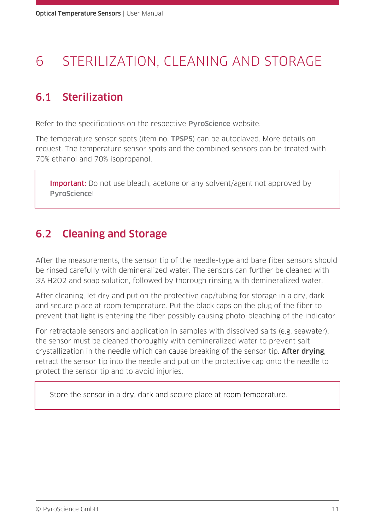# <span id="page-10-0"></span>6 STERILIZATION, CLEANING AND STORAGE

### <span id="page-10-1"></span>6.1 Sterilization

Refer to the specifications on the respective PyroScience website.

The temperature sensor spots (item no. TPSP5) can be autoclaved. More details on request. The temperature sensor spots and the combined sensors can be treated with 70% ethanol and 70% isopropanol.

**Important:** Do not use bleach, acetone or any solvent/agent not approved by PyroScience!

### <span id="page-10-2"></span>6.2 Cleaning and Storage

After the measurements, the sensor tip of the needle-type and bare fiber sensors should be rinsed carefully with demineralized water. The sensors can further be cleaned with 3% H2O2 and soap solution, followed by thorough rinsing with demineralized water.

After cleaning, let dry and put on the protective cap/tubing for storage in a dry, dark and secure place at room temperature. Put the black caps on the plug of the fiber to prevent that light is entering the fiber possibly causing photo-bleaching of the indicator.

For retractable sensors and application in samples with dissolved salts (e.g. seawater), the sensor must be cleaned thoroughly with demineralized water to prevent salt crystallization in the needle which can cause breaking of the sensor tip. **After drying**, retract the sensor tip into the needle and put on the protective cap onto the needle to protect the sensor tip and to avoid injuries.

Store the sensor in a dry, dark and secure place at room temperature.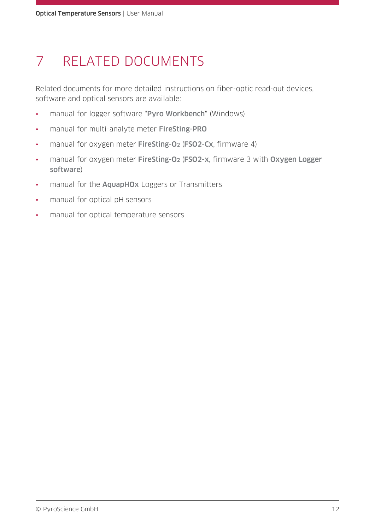# <span id="page-11-0"></span>7 RELATED DOCUMENTS

Related documents for more detailed instructions on fiber-optic read-out devices, software and optical sensors are available:

- manual for logger software "Pyro Workbench" (Windows)
- manual for multi-analyte meter FireSting-PRO
- manual for oxygen meter FireSting-O<sub>2</sub> (FSO2-Cx, firmware 4)
- manual for oxygen meter FireSting-O<sub>2</sub> (FSO2-x, firmware 3 with Oxygen Logger software)
- manual for the AquapHOx Loggers or Transmitters
- manual for optical pH sensors
- manual for optical temperature sensors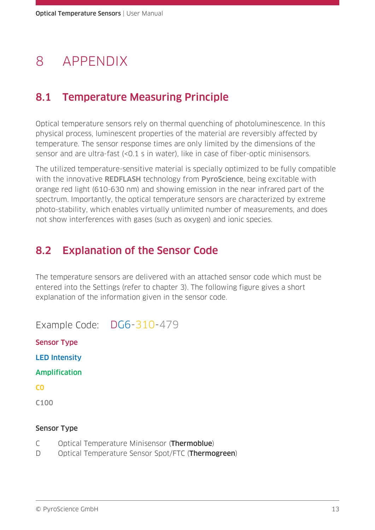## <span id="page-12-0"></span>8 APPENDIX

### <span id="page-12-1"></span>8.1 Temperature Measuring Principle

Optical temperature sensors rely on thermal quenching of photoluminescence. In this physical process, luminescent properties of the material are reversibly affected by temperature. The sensor response times are only limited by the dimensions of the sensor and are ultra-fast (<0.1 s in water), like in case of fiber-optic minisensors.

The utilized temperature-sensitive material is specially optimized to be fully compatible with the innovative REDFLASH technology from PyroScience, being excitable with orange red light (610-630 nm) and showing emission in the near infrared part of the spectrum. Importantly, the optical temperature sensors are characterized by extreme photo-stability, which enables virtually unlimited number of measurements, and does not show interferences with gases (such as oxygen) and ionic species.

### <span id="page-12-2"></span>8.2 Explanation of the Sensor Code

The temperature sensors are delivered with an attached sensor code which must be entered into the Settings (refer to chapter [3\)](#page-5-0). The following figure gives a short explanation of the information given in the sensor code.

Example Code: DG6-310-479 Sensor Type LED Intensity Amplification C0 C100 Sensor Type

#### C Optical Temperature Minisensor (Thermoblue)

D Optical Temperature Sensor Spot/FTC (Thermogreen)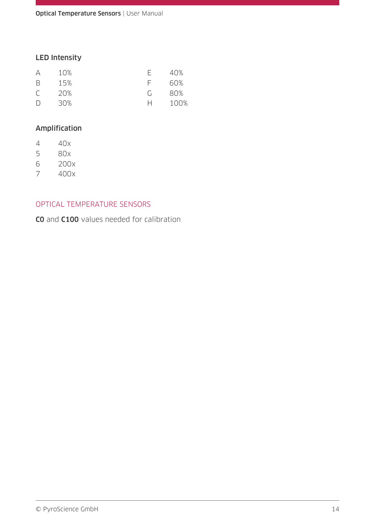#### LED Intensity

| А         | 10% | Н.  | 40%  |
|-----------|-----|-----|------|
| <b>B</b>  | 15% | F.  | 60%  |
| $\subset$ | 20% | ( i | 80%  |
| Ð         | 30% | н   | 100% |

#### Amplification

- 4 40x
- 5 80x
- 6 200x
- 7 400x

#### OPTICAL TEMPERATURE SENSORS

CO and C100 values needed for calibration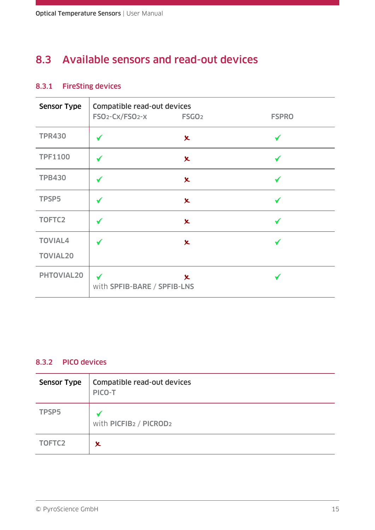### <span id="page-14-0"></span>8.3 Available sensors and read-out devices

#### <span id="page-14-1"></span>8.3.1 FireSting devices

| Sensor Type                       | <b>Compatible read-out devices</b><br>FSO <sub>2</sub> -Cx/FSO <sub>2</sub> -x | FSGO <sub>2</sub> | <b>FSPRO</b> |
|-----------------------------------|--------------------------------------------------------------------------------|-------------------|--------------|
| <b>TPR430</b>                     |                                                                                | $\mathbf x$       | $\checkmark$ |
| <b>TPF1100</b>                    | $\sqrt{}$                                                                      | ×                 | $\checkmark$ |
| <b>TPB430</b>                     |                                                                                | ×                 |              |
| TPSP5                             | $\sqrt{}$                                                                      | ×                 | $\checkmark$ |
| TOFTC2                            |                                                                                | ×                 |              |
| <b>TOVIAL4</b><br><b>TOVIAL20</b> |                                                                                | ×                 |              |
| PHTOVIAL20                        | $\sqrt{}$<br>with SPFIB-BARE / SPFIB-LNS                                       | <b>x</b>          |              |

#### <span id="page-14-2"></span>8.3.2 PICO devices

<span id="page-14-3"></span>

| <b>Sensor Type</b> | Compatible read-out devices<br>PICO-T |
|--------------------|---------------------------------------|
| TPSP5              | with PICFIB2 / PICROD2                |
| TOFTC <sub>2</sub> | x                                     |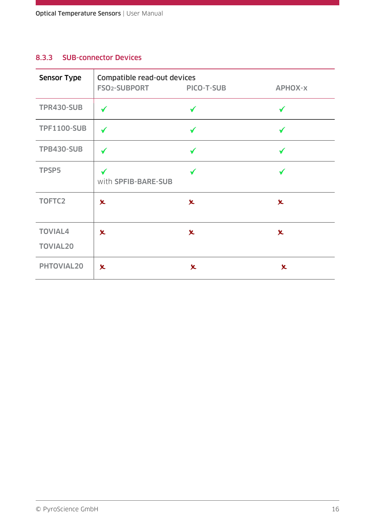#### 8.3.3 SUB-connector Devices

<span id="page-15-0"></span>

| Sensor Type        | Compatible read-out devices<br>FSO <sub>2</sub> -SUBPORT | PICO-T-SUB   | <b>APHOX-X</b> |
|--------------------|----------------------------------------------------------|--------------|----------------|
| <b>TPR430-SUB</b>  |                                                          | $\checkmark$ | $\checkmark$   |
| <b>TPF1100-SUB</b> | $\sqrt{}$                                                |              |                |
| <b>TPB430-SUB</b>  |                                                          |              |                |
| TPSP5              | $\sqrt{}$<br>with SPFIB-BARE-SUB                         |              |                |
| TOFTC2             | $\boldsymbol{\mathsf{x}}$                                | ×            | ×              |
| <b>TOVIAL4</b>     | ×                                                        | ×            | ×              |
| <b>TOVIAL20</b>    |                                                          |              |                |
| PHTOVIAL20         | $\overline{\mathbf{x}}$                                  | ×            | ×              |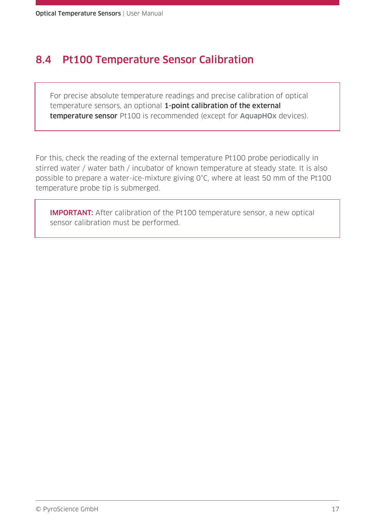### 8.4 Pt100 Temperature Sensor Calibration

For precise absolute temperature readings and precise calibration of optical temperature sensors, an optional 1-point calibration of the external **temperature sensor** Pt100 is recommended (except for AquapHOx devices).

For this, check the reading of the external temperature Pt100 probe periodically in stirred water / water bath / incubator of known temperature at steady state. It is also possible to prepare a water-ice-mixture giving 0°C, where at least 50 mm of the Pt100 temperature probe tip is submerged.

**IMPORTANT:** After calibration of the Pt100 temperature sensor, a new optical sensor calibration must be performed.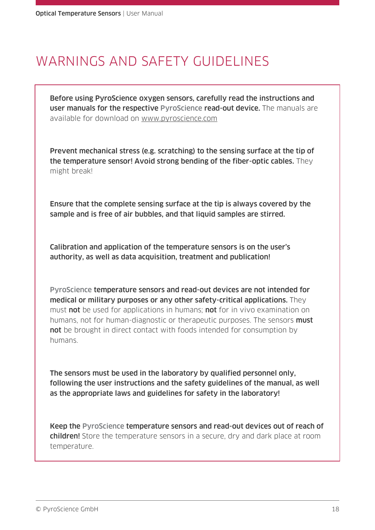# <span id="page-17-0"></span>WARNINGS AND SAFETY GUIDELINES

Before using PyroScience oxygen sensors, carefully read the instructions and user manuals for the respective PyroScience read-out device. The manuals are available for download on [www.pyroscience.com](http://www.pyroscience.com/)

Prevent mechanical stress (e.g. scratching) to the sensing surface at the tip of the temperature sensor! Avoid strong bending of the fiber-optic cables. They might break!

Ensure that the complete sensing surface at the tip is always covered by the sample and is free of air bubbles, and that liquid samples are stirred.

Calibration and application of the temperature sensors is on the user's authority, as well as data acquisition, treatment and publication!

PyroScience temperature sensors and read-out devices are not intended for medical or military purposes or any other safety-critical applications. They must not be used for applications in humans; not for in vivo examination on humans, not for human-diagnostic or therapeutic purposes. The sensors **must** not be brought in direct contact with foods intended for consumption by humans.

The sensors must be used in the laboratory by qualified personnel only, following the user instructions and the safety guidelines of the manual, as well as the appropriate laws and guidelines for safety in the laboratory!

Keep the PyroScience temperature sensors and read-out devices out of reach of children! Store the temperature sensors in a secure, dry and dark place at room temperature.